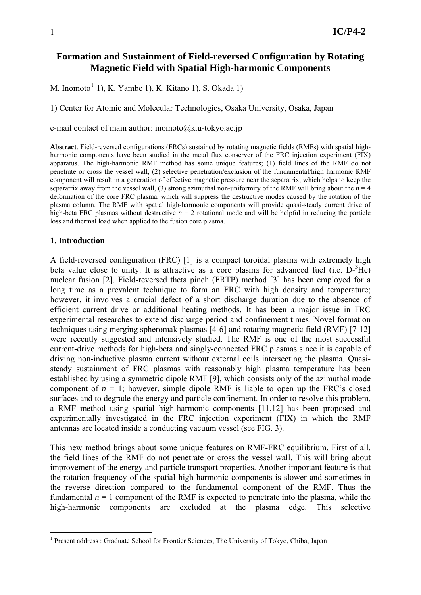# **Formation and Sustainment of Field-reversed Configuration by Rotating Magnetic Field with Spatial High-harmonic Components**

M. Inomoto<sup>[1](#page-0-0)</sup> 1), K. Yambe 1), K. Kitano 1), S. Okada 1)

1) Center for Atomic and Molecular Technologies, Osaka University, Osaka, Japan

e-mail contact of main author: inomoto@k.u-tokyo.ac.jp

**Abstract**. Field-reversed configurations (FRCs) sustained by rotating magnetic fields (RMFs) with spatial highharmonic components have been studied in the metal flux conserver of the FRC injection experiment (FIX) apparatus. The high-harmonic RMF method has some unique features; (1) field lines of the RMF do not penetrate or cross the vessel wall, (2) selective penetration/exclusion of the fundamental/high harmonic RMF component will result in a generation of effective magnetic pressure near the separatrix, which helps to keep the separatrix away from the vessel wall, (3) strong azimuthal non-uniformity of the RMF will bring about the  $n = 4$ deformation of the core FRC plasma, which will suppress the destructive modes caused by the rotation of the plasma column. The RMF with spatial high-harmonic components will provide quasi-steady current drive of high-beta FRC plasmas without destructive  $n = 2$  rotational mode and will be helpful in reducing the particle loss and thermal load when applied to the fusion core plasma.

#### **1. Introduction**

1

A field-reversed configuration (FRC) [1] is a compact toroidal plasma with extremely high beta value close to unity. It is attractive as a core plasma for advanced fuel (i.e.  $D^{-3}He$ ) nuclear fusion [2]. Field-reversed theta pinch (FRTP) method [3] has been employed for a long time as a prevalent technique to form an FRC with high density and temperature; however, it involves a crucial defect of a short discharge duration due to the absence of efficient current drive or additional heating methods. It has been a major issue in FRC experimental researches to extend discharge period and confinement times. Novel formation techniques using merging spheromak plasmas [4-6] and rotating magnetic field (RMF) [7-12] were recently suggested and intensively studied. The RMF is one of the most successful current-drive methods for high-beta and singly-connected FRC plasmas since it is capable of driving non-inductive plasma current without external coils intersecting the plasma. Quasisteady sustainment of FRC plasmas with reasonably high plasma temperature has been established by using a symmetric dipole RMF [9], which consists only of the azimuthal mode component of  $n = 1$ ; however, simple dipole RMF is liable to open up the FRC's closed surfaces and to degrade the energy and particle confinement. In order to resolve this problem, a RMF method using spatial high-harmonic components [11,12] has been proposed and experimentally investigated in the FRC injection experiment (FIX) in which the RMF antennas are located inside a conducting vacuum vessel (see FIG. 3).

This new method brings about some unique features on RMF-FRC equilibrium. First of all, the field lines of the RMF do not penetrate or cross the vessel wall. This will bring about improvement of the energy and particle transport properties. Another important feature is that the rotation frequency of the spatial high-harmonic components is slower and sometimes in the reverse direction compared to the fundamental component of the RMF. Thus the fundamental  $n = 1$  component of the RMF is expected to penetrate into the plasma, while the high-harmonic components are excluded at the plasma edge. This selective

<span id="page-0-0"></span><sup>&</sup>lt;sup>1</sup> Present address : Graduate School for Frontier Sciences, The University of Tokyo, Chiba, Japan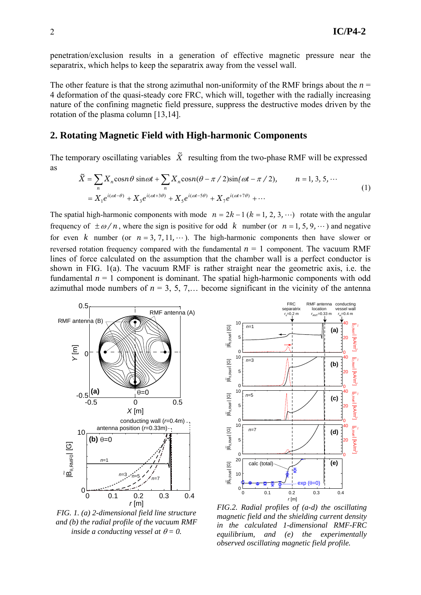penetration/exclusion results in a generation of effective magnetic pressure near the separatrix, which helps to keep the separatrix away from the vessel wall.

The other feature is that the strong azimuthal non-uniformity of the RMF brings about the  $n =$ 4 deformation of the quasi-steady core FRC, which will, together with the radially increasing nature of the confining magnetic field pressure, suppress the destructive modes driven by the rotation of the plasma column [13,14].

## **2. Rotating Magnetic Field with High-harmonic Components**

The temporary oscillating variables  $\tilde{X}$  resulting from the two-phase RMF will be expressed as

$$
\widetilde{X} = \sum_{n} X_n \cos n\theta \sin \omega t + \sum_{n} X_n \cos n(\theta - \pi / 2) \sin(\omega t - \pi / 2), \qquad n = 1, 3, 5, \cdots
$$
  
=  $X_1 e^{i(\omega t - \theta)} + X_3 e^{i(\omega t + 3\theta)} + X_5 e^{i(\omega t - 5\theta)} + X_7 e^{i(\omega t + 7\theta)} + \cdots$  (1)

The spatial high-harmonic components with mode  $n = 2k - 1$  ( $k = 1, 2, 3, \cdots$ ) rotate with the angular frequency of  $\pm \omega/n$ , where the sign is positive for odd *k* number (or  $n = 1, 5, 9, \dots$ ) and negative for even *k* number (or  $n = 3, 7, 11, \dots$ ). The high-harmonic components then have slower or reversed rotation frequency compared with the fundamental  $n = 1$  component. The vacuum RMF lines of force calculated on the assumption that the chamber wall is a perfect conductor is shown in FIG. 1(a). The vacuum RMF is rather straight near the geometric axis, i.e. the fundamental  $n = 1$  component is dominant. The spatial high-harmonic components with odd azimuthal mode numbers of  $n = 3, 5, 7, \ldots$  become significant in the vicinity of the antenna



*FIG. 1. (a) 2-dimensional field line structure and (b) the radial profile of the vacuum RMF inside a conducting vessel at*  $\theta = 0$ .



*FIG.2. Radial profiles of (a-d) the oscillating magnetic field and the shielding current density in the calculated 1-dimensional RMF-FRC equilibrium, and (e) the experimentally observed oscillating magnetic field profile.*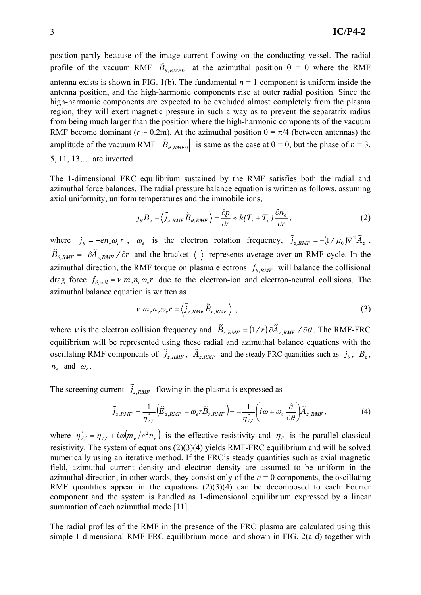position partly because of the image current flowing on the conducting vessel. The radial profile of the vacuum RMF  $|\tilde{B}_{\theta, RMF0}|$  at the azimuthal position  $\theta = 0$  where the RMF antenna exists is shown in FIG. 1(b). The fundamental  $n = 1$  component is uniform inside the antenna position, and the high-harmonic components rise at outer radial position. Since the high-harmonic components are expected to be excluded almost completely from the plasma region, they will exert magnetic pressure in such a way as to prevent the separatrix radius from being much larger than the position where the high-harmonic components of the vacuum RMF become dominant ( $r \sim 0.2$ m). At the azimuthal position  $\theta = \pi/4$  (between antennas) the amplitude of the vacuum RMF  $|\tilde{B}_{\theta, RMF0}|$  is same as the case at  $\theta = 0$ , but the phase of  $n = 3$ , 5, 11, 13,… are inverted.

The 1-dimensional FRC equilibrium sustained by the RMF satisfies both the radial and azimuthal force balances. The radial pressure balance equation is written as follows, assuming axial uniformity, uniform temperatures and the immobile ions,

$$
j_{\theta} B_z - \langle \tilde{j}_{z,RMF} \tilde{B}_{\theta,RMF} \rangle = \frac{\partial p}{\partial r} \approx k(T_i + T_e) \frac{\partial n_e}{\partial r}, \qquad (2)
$$

where  $j_{\theta} = -en_{e}\omega_{e}r$ ,  $\omega_{e}$  is the electron rotation frequency,  $\tilde{j}_{z,RMF} = -(1/\mu_{0})\nabla^{2}\tilde{A}_{z}$ ,  $\widetilde{B}_{\theta, RMF} = -\partial \widetilde{A}_{z, RMF}$  */ ∂r* and the bracket  $\langle \rangle$  represents average over an RMF cycle. In the azimuthal direction, the RMF torque on plasma electrons  $f_{\theta, RMF}$  will balance the collisional drag force  $f_{\theta, coll} = v m_e n_e \omega_e r$  due to the electron-ion and electron-neutral collisions. The azimuthal balance equation is written as

$$
v m_e n_e \omega_e r = \langle \tilde{j}_{z,RMF} \tilde{B}_{r,RMF} \rangle , \qquad (3)
$$

where *v* is the electron collision frequency and  $\tilde{B}_{r,RMF} = (1/r)\partial \tilde{A}_{z,RMF} / \partial \theta$ . The RMF-FRC equilibrium will be represented using these radial and azimuthal balance equations with the oscillating RMF components of  $\tilde{j}_{z,RMF}$ ,  $\tilde{A}_{z,RMF}$  and the steady FRC quantities such as  $j_{\theta}$ ,  $B_z$ ,  $n_e$  and  $\omega_e$ .

The screening current  $\tilde{j}_{z,RMF}$  flowing in the plasma is expressed as

$$
\widetilde{j}_{z,RMF} = \frac{1}{\eta_{//}^*} \left( \widetilde{E}_{z,RMF} - \omega_e r \widetilde{B}_{r,RMF} \right) = -\frac{1}{\eta_{//}^*} \left( i\omega + \omega_e \frac{\partial}{\partial \theta} \right) \widetilde{A}_{z,RMF},\tag{4}
$$

where  $\eta_{//}^* = \eta_{//} + i\omega (m_e/e^2 n_e)$  is the effective resistivity and  $\eta_{//}$  is the parallel classical resistivity. The system of equations (2)(3)(4) yields RMF-FRC equilibrium and will be solved numerically using an iterative method. If the FRC's steady quantities such as axial magnetic field, azimuthal current density and electron density are assumed to be uniform in the azimuthal direction, in other words, they consist only of the  $n = 0$  components, the oscillating RMF quantities appear in the equations  $(2)(3)(4)$  can be decomposed to each Fourier component and the system is handled as 1-dimensional equilibrium expressed by a linear summation of each azimuthal mode [11].

The radial profiles of the RMF in the presence of the FRC plasma are calculated using this simple 1-dimensional RMF-FRC equilibrium model and shown in FIG. 2(a-d) together with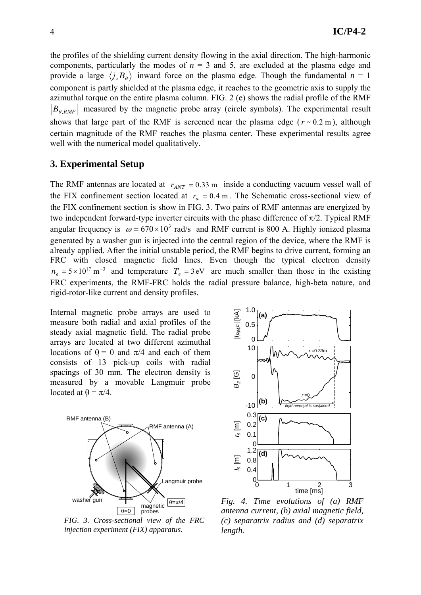the profiles of the shielding current density flowing in the axial direction. The high-harmonic components, particularly the modes of  $n = 3$  and 5, are excluded at the plasma edge and provide a large  $\langle j_zB_\theta \rangle$  inward force on the plasma edge. Though the fundamental  $n = 1$ component is partly shielded at the plasma edge, it reaches to the geometric axis to supply the azimuthal torque on the entire plasma column. FIG. 2 (e) shows the radial profile of the RMF  $|B_{\theta, RMF}|$  measured by the magnetic probe array (circle symbols). The experimental result shows that large part of the RMF is screened near the plasma edge ( $r \sim 0.2$  m), although certain magnitude of the RMF reaches the plasma center. These experimental results agree well with the numerical model qualitatively.

### **3. Experimental Setup**

The RMF antennas are located at  $r_{ANT} = 0.33$  m inside a conducting vacuum vessel wall of the FIX confinement section located at  $r_w = 0.4$  m. The Schematic cross-sectional view of the FIX confinement section is show in FIG. 3. Two pairs of RMF antennas are energized by two independent forward-type inverter circuits with the phase difference of  $\pi/2$ . Typical RMF angular frequency is  $\omega = 670 \times 10^3$  rad/s and RMF current is 800 A. Highly ionized plasma generated by a washer gun is injected into the central region of the device, where the RMF is already applied. After the initial unstable period, the RMF begins to drive current, forming an FRC with closed magnetic field lines. Even though the typical electron density  $n_e = 5 \times 10^{17} \text{ m}^{-3}$  and temperature  $T_e = 3 \text{ eV}$  are much smaller than those in the existing FRC experiments, the RMF-FRC holds the radial pressure balance, high-beta nature, and rigid-rotor-like current and density profiles.

Internal magnetic probe arrays are used to measure both radial and axial profiles of the steady axial magnetic field. The radial probe arrays are located at two different azimuthal locations of  $\theta = 0$  and  $\pi/4$  and each of them consists of 13 pick-up coils with radial spacings of 30 mm. The electron density is measured by a movable Langmuir probe located at  $\theta = \pi/4$ .



*FIG. 3. Cross-sectional view of the FRC injection experiment (FIX) apparatus.* 



*Fig. 4. Time evolutions of (a) RMF antenna current, (b) axial magnetic field, (c) separatrix radius and (d) separatrix length.*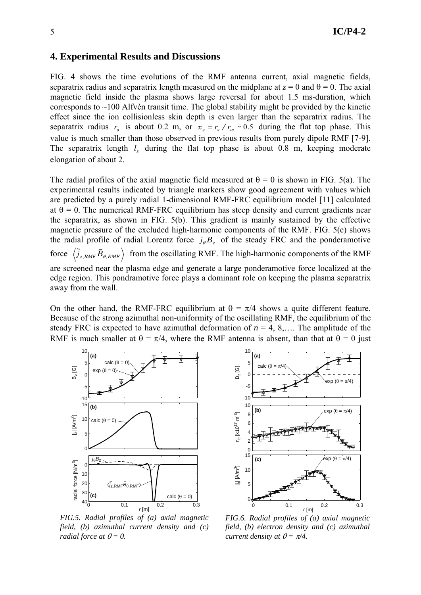## **4. Experimental Results and Discussions**

FIG. 4 shows the time evolutions of the RMF antenna current, axial magnetic fields, separatrix radius and separatrix length measured on the midplane at  $z = 0$  and  $\theta = 0$ . The axial magnetic field inside the plasma shows large reversal for about 1.5 ms-duration, which corresponds to  $\sim$ 100 Alfvèn transit time. The global stability might be provided by the kinetic effect since the ion collisionless skin depth is even larger than the separatrix radius. The separatrix radius  $r_s$  is about 0.2 m, or  $x_s = r_s / r_w \approx 0.5$  during the flat top phase. This value is much smaller than those observed in previous results from purely dipole RMF [7-9]. The separatrix length  $l_s$  during the flat top phase is about 0.8 m, keeping moderate elongation of about 2.

The radial profiles of the axial magnetic field measured at  $\theta = 0$  is shown in FIG. 5(a). The experimental results indicated by triangle markers show good agreement with values which are predicted by a purely radial 1-dimensional RMF-FRC equilibrium model [11] calculated at  $\theta = 0$ . The numerical RMF-FRC equilibrium has steep density and current gradients near the separatrix, as shown in FIG. 5(b). This gradient is mainly sustained by the effective magnetic pressure of the excluded high-harmonic components of the RMF. FIG. 5(c) shows the radial profile of radial Lorentz force  $j_{\theta}B_z$  of the steady FRC and the ponderamotive force  $\widetilde{j}_{z,RMF}$   $\widetilde{B}_{\theta,RMF}$  from the oscillating RMF. The high-harmonic components of the RMF are screened near the plasma edge and generate a large ponderamotive force localized at the edge region. This pondramotive force plays a dominant role on keeping the plasma separatrix away from the wall.

On the other hand, the RMF-FRC equilibrium at  $\theta = \pi/4$  shows a quite different feature. Because of the strong azimuthal non-uniformity of the oscillating RMF, the equilibrium of the steady FRC is expected to have azimuthal deformation of  $n = 4, 8,...$  The amplitude of the RMF is much smaller at  $\theta = \pi/4$ , where the RMF antenna is absent, than that at  $\theta = 0$  just



*FIG.5. Radial profiles of (a) axial magnetic field, (b) azimuthal current density and (c) radial force at*  $\theta = 0$ .



*FIG.6. Radial profiles of (a) axial magnetic field, (b) electron density and (c) azimuthal current density at*  $\theta = \pi/4$ .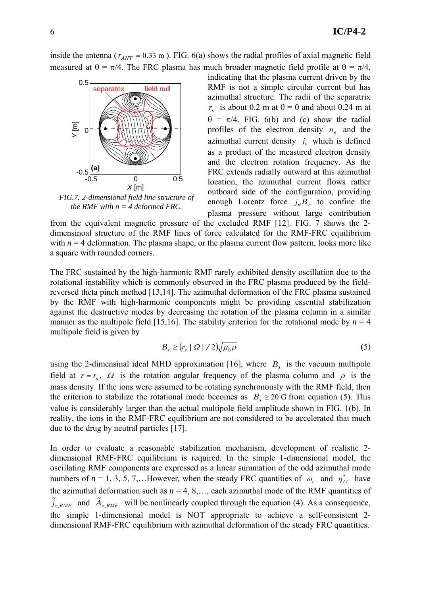inside the antenna ( $r_{ANT}$  = 0.33 m). FIG. 6(a) shows the radial profiles of axial magnetic field measured at  $\theta = \pi/4$ . The FRC plasma has much broader magnetic field profile at  $\theta = \pi/4$ ,



*FIG.7. 2-dimensional field line structure of the RMF with*  $n = 4$  *deformed FRC.* 

indicating that the plasma current driven by the RMF is not a simple circular current but has azimuthal structure. The radii of the separatrix  $r_s$  is about 0.2 m at  $\theta = 0$  and about 0.24 m at  $\theta = \pi/4$ . FIG. 6(b) and (c) show the radial profiles of the electron density  $n_e$  and the azimuthal current density  $j_t$  which is defined as a product of the measured electron density and the electron rotation frequency. As the FRC extends radially outward at this azimuthal location, the azimuthal current flows rather outboard side of the configuration, providing enough Lorentz force  $j_{\theta}B_z$  to confine the plasma pressure without large contribution

from the equivalent magnetic pressure of the excluded RMF [12]. FIG. 7 shows the 2 dimensinoal structure of the RMF lines of force calculated for the RMF-FRC equilibrium with  $n = 4$  deformation. The plasma shape, or the plasma current flow pattern, looks more like a square with rounded corners.

The FRC sustained by the high-harmonic RMF rarely exhibited density oscillation due to the rotational instability which is commonly observed in the FRC plasma produced by the fieldreversed theta pinch method [13,14]. The azimuthal deformation of the FRC plasma sustained by the RMF with high-harmonic components might be providing essential stabilization against the destructive modes by decreasing the rotation of the plasma column in a similar manner as the multipole field [15,16]. The stability criterion for the rotational mode by  $n = 4$ multipole field is given by

$$
B_s \ge (r_s \mid \Omega \mid / 2) \sqrt{\mu_0 \rho} \tag{5}
$$

using the 2-dimensinal ideal MHD approximation [16], where  $B_s$  is the vacuum multipole field at  $r = r_s$ ,  $\Omega$  is the rotation angular frequency of the plasma column and  $\rho$  is the mass density. If the ions were assumed to be rotating synchronously with the RMF field, then the criterion to stabilize the rotational mode becomes as  $B_s \geq 20$  G from equation (5). This value is considerably larger than the actual multipole field amplitude shown in FIG. 1(b). In reality, the ions in the RMF-FRC equilibrium are not considered to be accelerated that much due to the drug by neutral particles [17].

In order to evaluate a reasonable stabilization mechanism, development of realistic 2 dimensional RMF-FRC equilibrium is required. In the simple 1-dimensional model, the oscillating RMF components are expressed as a linear summation of the odd azimuthal mode numbers of  $n = 1, 3, 5, 7, \dots$  However, when the steady FRC quantities of  $\omega_e$  and  $\eta^*_{//}$  have the azimuthal deformation such as  $n = 4, 8, \dots$ , each azimuthal mode of the RMF quantities of  $\tilde{j}_{z,RMF}$  and  $\tilde{A}_{z,RMF}$  will be nonlinearly coupled through the equation (4). As a consequence, the simple 1-dimensional model is NOT appropriate to achieve a self-consistent 2 dimensional RMF-FRC equilibrium with azimuthal deformation of the steady FRC quantities.